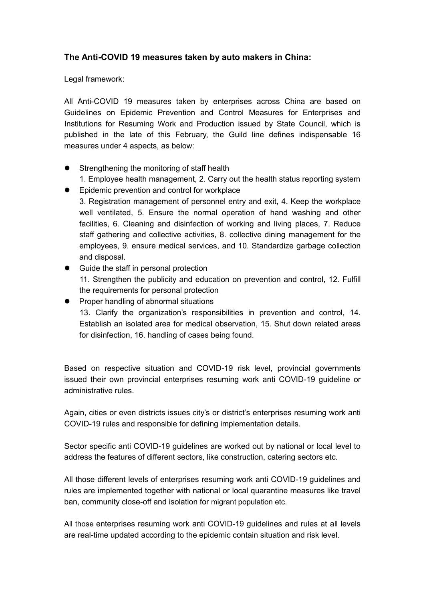## The Anti-COVID 19 measures taken by auto makers in China:

## Legal framework:

All Anti-COVID 19 measures taken by enterprises across China are based on Guidelines on Epidemic Prevention and Control Measures for Enterprises and Institutions for Resuming Work and Production issued by State Council, which is published in the late of this February, the Guild line defines indispensable 16 measures under 4 aspects, as below:

- Strengthening the monitoring of staff health
	- 1. Employee health management, 2. Carry out the health status reporting system
- **•** Epidemic prevention and control for workplace

3. Registration management of personnel entry and exit, 4. Keep the workplace well ventilated, 5. Ensure the normal operation of hand washing and other facilities, 6. Cleaning and disinfection of working and living places, 7. Reduce staff gathering and collective activities, 8. collective dining management for the employees, 9. ensure medical services, and 10. Standardize garbage collection and disposal.

- Guide the staff in personal protection 11. Strengthen the publicity and education on prevention and control, 12. Fulfill the requirements for personal protection
- Proper handling of abnormal situations 13. Clarify the organization's responsibilities in prevention and control, 14. Establish an isolated area for medical observation, 15. Shut down related areas for disinfection, 16. handling of cases being found.

Based on respective situation and COVID-19 risk level, provincial governments issued their own provincial enterprises resuming work anti COVID-19 guideline or administrative rules.

Again, cities or even districts issues city's or district's enterprises resuming work anti COVID-19 rules and responsible for defining implementation details.

Sector specific anti COVID-19 guidelines are worked out by national or local level to address the features of different sectors, like construction, catering sectors etc.

All those different levels of enterprises resuming work anti COVID-19 guidelines and rules are implemented together with national or local quarantine measures like travel ban, community close-off and isolation for migrant population etc.

All those enterprises resuming work anti COVID-19 guidelines and rules at all levels are real-time updated according to the epidemic contain situation and risk level.